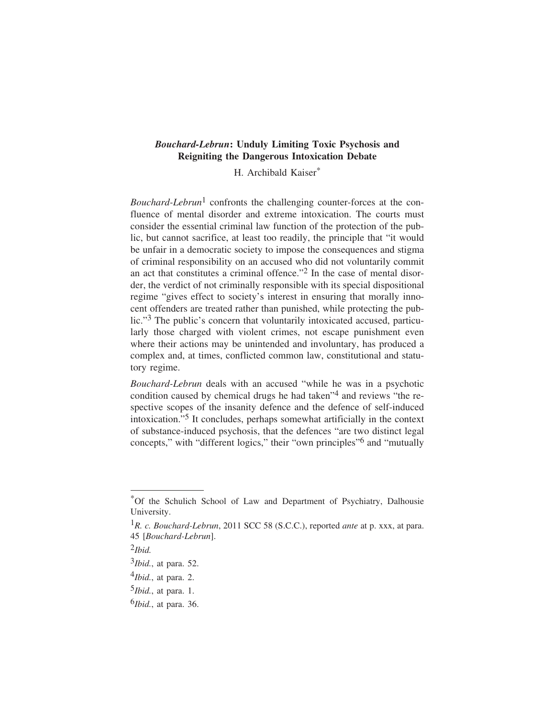# *Bouchard-Lebrun***: Unduly Limiting Toxic Psychosis and Reigniting the Dangerous Intoxication Debate**

H. Archibald Kaiser\*

*Bouchard-Lebrun*1 confronts the challenging counter-forces at the confluence of mental disorder and extreme intoxication. The courts must consider the essential criminal law function of the protection of the public, but cannot sacrifice, at least too readily, the principle that "it would be unfair in a democratic society to impose the consequences and stigma of criminal responsibility on an accused who did not voluntarily commit an act that constitutes a criminal offence."2 In the case of mental disorder, the verdict of not criminally responsible with its special dispositional regime "gives effect to society's interest in ensuring that morally innocent offenders are treated rather than punished, while protecting the public."3 The public's concern that voluntarily intoxicated accused, particularly those charged with violent crimes, not escape punishment even where their actions may be unintended and involuntary, has produced a complex and, at times, conflicted common law, constitutional and statutory regime.

*Bouchard-Lebrun* deals with an accused "while he was in a psychotic condition caused by chemical drugs he had taken"4 and reviews "the respective scopes of the insanity defence and the defence of self-induced intoxication."5 It concludes, perhaps somewhat artificially in the context of substance-induced psychosis, that the defences "are two distinct legal concepts," with "different logics," their "own principles"6 and "mutually

<sup>\*</sup>Of the Schulich School of Law and Department of Psychiatry, Dalhousie University.

<sup>1</sup>*R. c. Bouchard-Lebrun*, 2011 SCC 58 (S.C.C.), reported *ante* at p. xxx, at para. 45 [*Bouchard-Lebrun*].

<sup>2</sup>*Ibid.*

<sup>3</sup>*Ibid.*, at para. 52.

<sup>4</sup>*Ibid.*, at para. 2.

<sup>5</sup>*Ibid.*, at para. 1.

<sup>6</sup>*Ibid.*, at para. 36.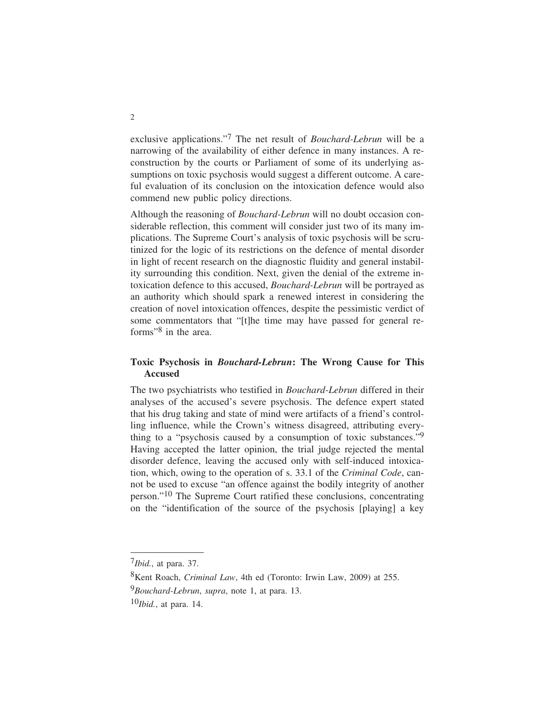exclusive applications."7 The net result of *Bouchard-Lebrun* will be a narrowing of the availability of either defence in many instances. A reconstruction by the courts or Parliament of some of its underlying assumptions on toxic psychosis would suggest a different outcome. A careful evaluation of its conclusion on the intoxication defence would also commend new public policy directions.

Although the reasoning of *Bouchard-Lebrun* will no doubt occasion considerable reflection, this comment will consider just two of its many implications. The Supreme Court's analysis of toxic psychosis will be scrutinized for the logic of its restrictions on the defence of mental disorder in light of recent research on the diagnostic fluidity and general instability surrounding this condition. Next, given the denial of the extreme intoxication defence to this accused, *Bouchard-Lebrun* will be portrayed as an authority which should spark a renewed interest in considering the creation of novel intoxication offences, despite the pessimistic verdict of some commentators that "[t]he time may have passed for general reforms"8 in the area.

## **Toxic Psychosis in** *Bouchard-Lebrun***: The Wrong Cause for This Accused**

The two psychiatrists who testified in *Bouchard-Lebrun* differed in their analyses of the accused's severe psychosis. The defence expert stated that his drug taking and state of mind were artifacts of a friend's controlling influence, while the Crown's witness disagreed, attributing everything to a "psychosis caused by a consumption of toxic substances."9 Having accepted the latter opinion, the trial judge rejected the mental disorder defence, leaving the accused only with self-induced intoxication, which, owing to the operation of s. 33.1 of the *Criminal Code*, cannot be used to excuse "an offence against the bodily integrity of another person."10 The Supreme Court ratified these conclusions, concentrating on the "identification of the source of the psychosis [playing] a key

<sup>7</sup>*Ibid.*, at para. 37.

<sup>8</sup>Kent Roach, *Criminal Law*, 4th ed (Toronto: Irwin Law, 2009) at 255.

<sup>9</sup>*Bouchard-Lebrun*, *supra*, note 1, at para. 13.

<sup>10</sup>*Ibid.*, at para. 14.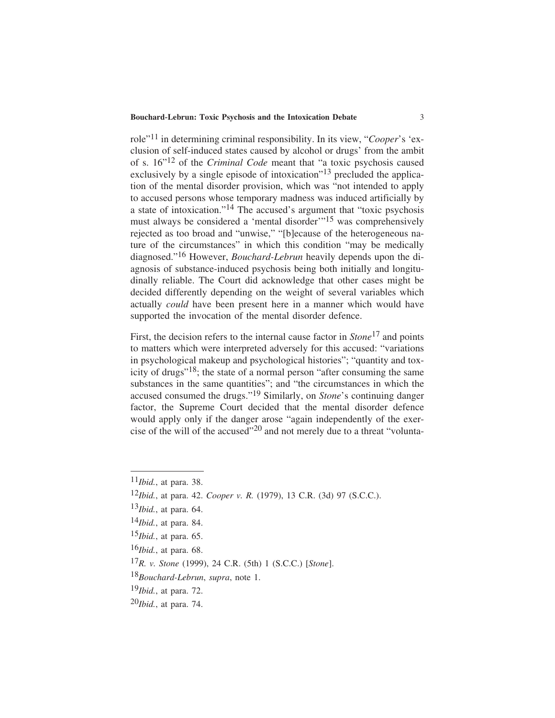#### **Bouchard-Lebrun: Toxic Psychosis and the Intoxication Debate** 3

role"11 in determining criminal responsibility. In its view, "*Cooper*'s 'exclusion of self-induced states caused by alcohol or drugs' from the ambit of s. 16"12 of the *Criminal Code* meant that "a toxic psychosis caused exclusively by a single episode of intoxication<sup>"13</sup> precluded the application of the mental disorder provision, which was "not intended to apply to accused persons whose temporary madness was induced artificially by a state of intoxication."14 The accused's argument that "toxic psychosis must always be considered a 'mental disorder'"15 was comprehensively rejected as too broad and "unwise," "[b]ecause of the heterogeneous nature of the circumstances" in which this condition "may be medically diagnosed."16 However, *Bouchard-Lebrun* heavily depends upon the diagnosis of substance-induced psychosis being both initially and longitudinally reliable. The Court did acknowledge that other cases might be decided differently depending on the weight of several variables which actually *could* have been present here in a manner which would have supported the invocation of the mental disorder defence.

First, the decision refers to the internal cause factor in *Stone*17 and points to matters which were interpreted adversely for this accused: "variations in psychological makeup and psychological histories"; "quantity and toxicity of drugs"18; the state of a normal person "after consuming the same substances in the same quantities"; and "the circumstances in which the accused consumed the drugs."19 Similarly, on *Stone*'s continuing danger factor, the Supreme Court decided that the mental disorder defence would apply only if the danger arose "again independently of the exercise of the will of the accused"20 and not merely due to a threat "volunta-

<sup>11</sup>*Ibid.*, at para. 38.

<sup>12</sup>*Ibid.*, at para. 42. *Cooper v. R.* (1979), 13 C.R. (3d) 97 (S.C.C.).

<sup>13</sup>*Ibid.*, at para. 64.

<sup>14</sup>*Ibid.*, at para. 84.

<sup>15</sup>*Ibid.*, at para. 65.

<sup>16</sup>*Ibid.*, at para. 68.

<sup>17</sup>*R. v. Stone* (1999), 24 C.R. (5th) 1 (S.C.C.) [*Stone*].

<sup>18</sup>*Bouchard-Lebrun*, *supra*, note 1.

<sup>19</sup>*Ibid.*, at para. 72.

<sup>20</sup>*Ibid.*, at para. 74.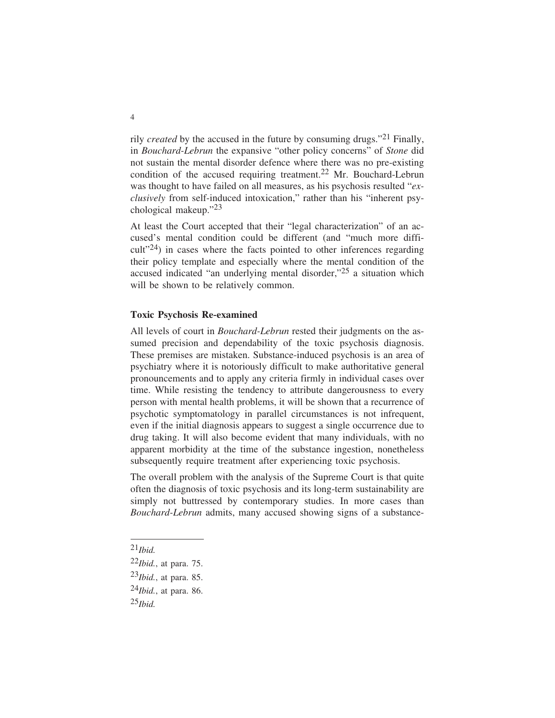rily *created* by the accused in the future by consuming drugs."21 Finally, in *Bouchard-Lebrun* the expansive "other policy concerns" of *Stone* did not sustain the mental disorder defence where there was no pre-existing condition of the accused requiring treatment.<sup>22</sup> Mr. Bouchard-Lebrun was thought to have failed on all measures, as his psychosis resulted "*exclusively* from self-induced intoxication," rather than his "inherent psychological makeup."23

At least the Court accepted that their "legal characterization" of an accused's mental condition could be different (and "much more diffi- $\text{curl}$ <sup>24</sup>) in cases where the facts pointed to other inferences regarding their policy template and especially where the mental condition of the accused indicated "an underlying mental disorder,"25 a situation which will be shown to be relatively common.

#### **Toxic Psychosis Re-examined**

All levels of court in *Bouchard-Lebrun* rested their judgments on the assumed precision and dependability of the toxic psychosis diagnosis. These premises are mistaken. Substance-induced psychosis is an area of psychiatry where it is notoriously difficult to make authoritative general pronouncements and to apply any criteria firmly in individual cases over time. While resisting the tendency to attribute dangerousness to every person with mental health problems, it will be shown that a recurrence of psychotic symptomatology in parallel circumstances is not infrequent, even if the initial diagnosis appears to suggest a single occurrence due to drug taking. It will also become evident that many individuals, with no apparent morbidity at the time of the substance ingestion, nonetheless subsequently require treatment after experiencing toxic psychosis.

The overall problem with the analysis of the Supreme Court is that quite often the diagnosis of toxic psychosis and its long-term sustainability are simply not buttressed by contemporary studies. In more cases than *Bouchard-Lebrun* admits, many accused showing signs of a substance-

<sup>21</sup>*Ibid.*

<sup>22</sup>*Ibid.*, at para. 75.

<sup>23</sup>*Ibid.*, at para. 85.

<sup>24</sup>*Ibid.*, at para. 86.

<sup>25</sup>*Ibid.*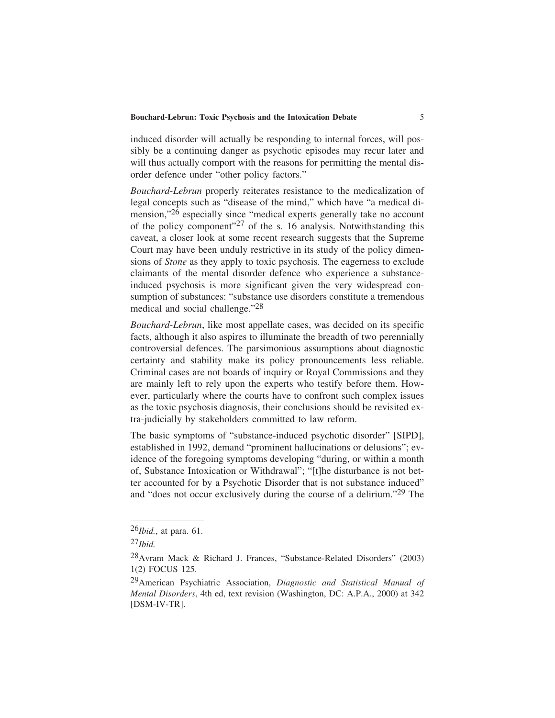induced disorder will actually be responding to internal forces, will possibly be a continuing danger as psychotic episodes may recur later and will thus actually comport with the reasons for permitting the mental disorder defence under "other policy factors."

*Bouchard-Lebrun* properly reiterates resistance to the medicalization of legal concepts such as "disease of the mind," which have "a medical dimension,"26 especially since "medical experts generally take no account of the policy component"<sup>27</sup> of the s. 16 analysis. Notwithstanding this caveat, a closer look at some recent research suggests that the Supreme Court may have been unduly restrictive in its study of the policy dimensions of *Stone* as they apply to toxic psychosis. The eagerness to exclude claimants of the mental disorder defence who experience a substanceinduced psychosis is more significant given the very widespread consumption of substances: "substance use disorders constitute a tremendous medical and social challenge."28

*Bouchard-Lebrun*, like most appellate cases, was decided on its specific facts, although it also aspires to illuminate the breadth of two perennially controversial defences. The parsimonious assumptions about diagnostic certainty and stability make its policy pronouncements less reliable. Criminal cases are not boards of inquiry or Royal Commissions and they are mainly left to rely upon the experts who testify before them. However, particularly where the courts have to confront such complex issues as the toxic psychosis diagnosis, their conclusions should be revisited extra-judicially by stakeholders committed to law reform.

The basic symptoms of "substance-induced psychotic disorder" [SIPD], established in 1992, demand "prominent hallucinations or delusions"; evidence of the foregoing symptoms developing "during, or within a month of, Substance Intoxication or Withdrawal"; "[t]he disturbance is not better accounted for by a Psychotic Disorder that is not substance induced" and "does not occur exclusively during the course of a delirium."29 The

<sup>26</sup>*Ibid.*, at para. 61.

<sup>27</sup>*Ibid.*

<sup>28</sup>Avram Mack & Richard J. Frances, "Substance-Related Disorders" (2003) 1(2) FOCUS 125.

<sup>29</sup>American Psychiatric Association, *Diagnostic and Statistical Manual of Mental Disorders*, 4th ed, text revision (Washington, DC: A.P.A., 2000) at 342 [DSM-IV-TR].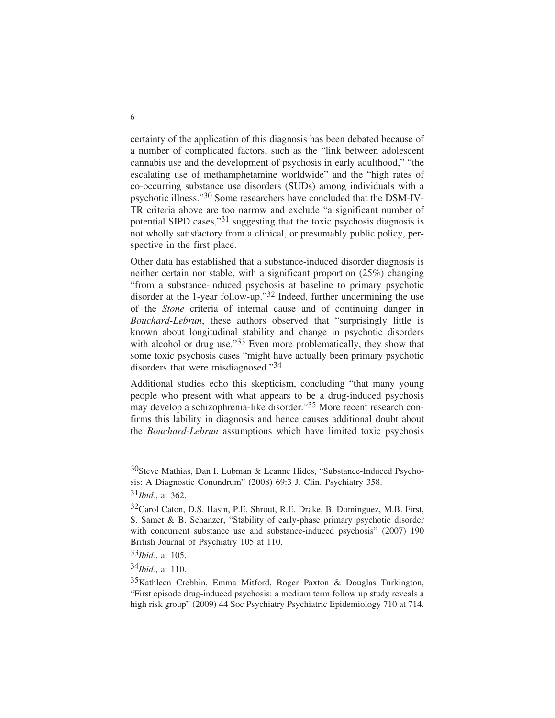certainty of the application of this diagnosis has been debated because of a number of complicated factors, such as the "link between adolescent cannabis use and the development of psychosis in early adulthood," "the escalating use of methamphetamine worldwide" and the "high rates of co-occurring substance use disorders (SUDs) among individuals with a psychotic illness."30 Some researchers have concluded that the DSM-IV-TR criteria above are too narrow and exclude "a significant number of potential SIPD cases,"31 suggesting that the toxic psychosis diagnosis is not wholly satisfactory from a clinical, or presumably public policy, perspective in the first place.

Other data has established that a substance-induced disorder diagnosis is neither certain nor stable, with a significant proportion (25%) changing "from a substance-induced psychosis at baseline to primary psychotic disorder at the 1-year follow-up."32 Indeed, further undermining the use of the *Stone* criteria of internal cause and of continuing danger in *Bouchard-Lebrun*, these authors observed that "surprisingly little is known about longitudinal stability and change in psychotic disorders with alcohol or drug use."33 Even more problematically, they show that some toxic psychosis cases "might have actually been primary psychotic disorders that were misdiagnosed."34

Additional studies echo this skepticism, concluding "that many young people who present with what appears to be a drug-induced psychosis may develop a schizophrenia-like disorder."35 More recent research confirms this lability in diagnosis and hence causes additional doubt about the *Bouchard-Lebrun* assumptions which have limited toxic psychosis

<sup>30</sup>Steve Mathias, Dan I. Lubman & Leanne Hides, "Substance-Induced Psychosis: A Diagnostic Conundrum" (2008) 69:3 J. Clin. Psychiatry 358. 31*Ibid.*, at 362.

<sup>32</sup>Carol Caton, D.S. Hasin, P.E. Shrout, R.E. Drake, B. Dominguez, M.B. First, S. Samet & B. Schanzer, "Stability of early-phase primary psychotic disorder with concurrent substance use and substance-induced psychosis" (2007) 190 British Journal of Psychiatry 105 at 110.

<sup>33</sup>*Ibid.*, at 105.

<sup>34</sup>*Ibid.*, at 110.

 $35$ Kathleen Crebbin, Emma Mitford, Roger Paxton & Douglas Turkington, "First episode drug-induced psychosis: a medium term follow up study reveals a high risk group" (2009) 44 Soc Psychiatry Psychiatric Epidemiology 710 at 714.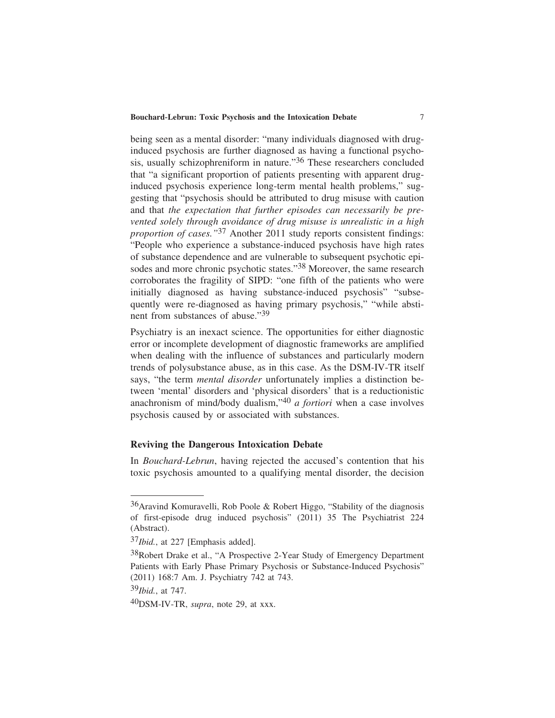being seen as a mental disorder: "many individuals diagnosed with druginduced psychosis are further diagnosed as having a functional psychosis, usually schizophreniform in nature."36 These researchers concluded that "a significant proportion of patients presenting with apparent druginduced psychosis experience long-term mental health problems," suggesting that "psychosis should be attributed to drug misuse with caution and that *the expectation that further episodes can necessarily be prevented solely through avoidance of drug misuse is unrealistic in a high proportion of cases."*37 Another 2011 study reports consistent findings: "People who experience a substance-induced psychosis have high rates of substance dependence and are vulnerable to subsequent psychotic episodes and more chronic psychotic states."38 Moreover, the same research corroborates the fragility of SIPD: "one fifth of the patients who were initially diagnosed as having substance-induced psychosis" "subsequently were re-diagnosed as having primary psychosis," "while abstinent from substances of abuse."39

Psychiatry is an inexact science. The opportunities for either diagnostic error or incomplete development of diagnostic frameworks are amplified when dealing with the influence of substances and particularly modern trends of polysubstance abuse, as in this case. As the DSM-IV-TR itself says, "the term *mental disorder* unfortunately implies a distinction between 'mental' disorders and 'physical disorders' that is a reductionistic anachronism of mind/body dualism,"40 *a fortiori* when a case involves psychosis caused by or associated with substances.

### **Reviving the Dangerous Intoxication Debate**

In *Bouchard-Lebrun*, having rejected the accused's contention that his toxic psychosis amounted to a qualifying mental disorder, the decision

39*Ibid.*, at 747.

 $36$ Aravind Komuravelli, Rob Poole & Robert Higgo, "Stability of the diagnosis of first-episode drug induced psychosis" (2011) 35 The Psychiatrist 224 (Abstract).

<sup>37</sup>*Ibid.*, at 227 [Emphasis added].

<sup>38</sup>Robert Drake et al., "A Prospective 2-Year Study of Emergency Department Patients with Early Phase Primary Psychosis or Substance-Induced Psychosis" (2011) 168:7 Am. J. Psychiatry 742 at 743.

<sup>40</sup>DSM-IV-TR, *supra*, note 29, at xxx.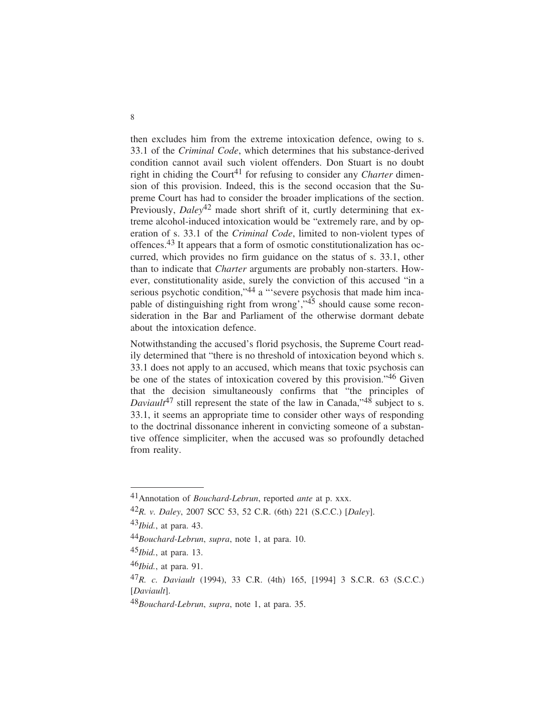then excludes him from the extreme intoxication defence, owing to s. 33.1 of the *Criminal Code*, which determines that his substance-derived condition cannot avail such violent offenders. Don Stuart is no doubt right in chiding the Court<sup>41</sup> for refusing to consider any *Charter* dimension of this provision. Indeed, this is the second occasion that the Supreme Court has had to consider the broader implications of the section. Previously, *Daley*<sup>42</sup> made short shrift of it, curtly determining that extreme alcohol-induced intoxication would be "extremely rare, and by operation of s. 33.1 of the *Criminal Code*, limited to non-violent types of offences.43 It appears that a form of osmotic constitutionalization has occurred, which provides no firm guidance on the status of s. 33.1, other than to indicate that *Charter* arguments are probably non-starters. However, constitutionality aside, surely the conviction of this accused "in a serious psychotic condition,"44 a "'severe psychosis that made him incapable of distinguishing right from wrong', $\cdot$ <sup>45</sup> should cause some reconsideration in the Bar and Parliament of the otherwise dormant debate about the intoxication defence.

Notwithstanding the accused's florid psychosis, the Supreme Court readily determined that "there is no threshold of intoxication beyond which s. 33.1 does not apply to an accused, which means that toxic psychosis can be one of the states of intoxication covered by this provision."46 Given that the decision simultaneously confirms that "the principles of *Daviault*<sup>47</sup> still represent the state of the law in Canada,"<sup>48</sup> subject to s. 33.1, it seems an appropriate time to consider other ways of responding to the doctrinal dissonance inherent in convicting someone of a substantive offence simpliciter, when the accused was so profoundly detached from reality.

<sup>41</sup>Annotation of *Bouchard-Lebrun*, reported *ante* at p. xxx.

<sup>42</sup>*R. v. Daley*, 2007 SCC 53, 52 C.R. (6th) 221 (S.C.C.) [*Daley*].

<sup>43</sup>*Ibid.*, at para. 43.

<sup>44</sup>*Bouchard-Lebrun*, *supra*, note 1, at para. 10.

<sup>45</sup>*Ibid.*, at para. 13.

<sup>46</sup>*Ibid.*, at para. 91.

<sup>47</sup>*R. c. Daviault* (1994), 33 C.R. (4th) 165, [1994] 3 S.C.R. 63 (S.C.C.) [*Daviault*].

<sup>48</sup>*Bouchard-Lebrun*, *supra*, note 1, at para. 35.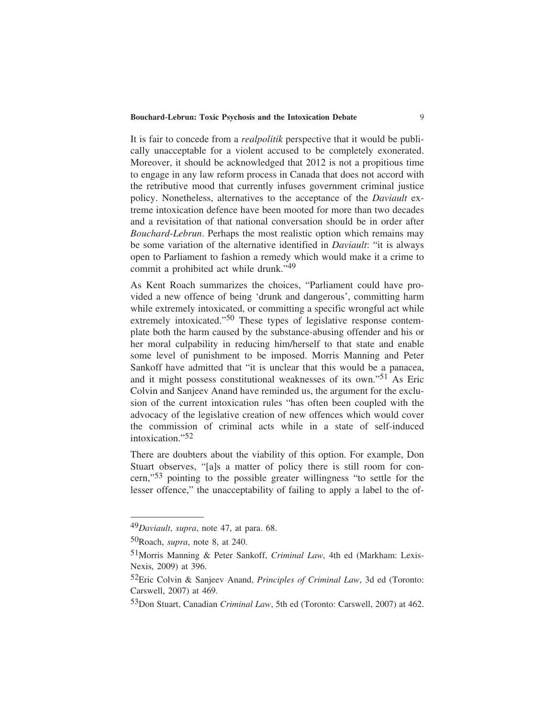#### **Bouchard-Lebrun: Toxic Psychosis and the Intoxication Debate** 9

It is fair to concede from a *realpolitik* perspective that it would be publically unacceptable for a violent accused to be completely exonerated. Moreover, it should be acknowledged that 2012 is not a propitious time to engage in any law reform process in Canada that does not accord with the retributive mood that currently infuses government criminal justice policy. Nonetheless, alternatives to the acceptance of the *Daviault* extreme intoxication defence have been mooted for more than two decades and a revisitation of that national conversation should be in order after *Bouchard-Lebrun*. Perhaps the most realistic option which remains may be some variation of the alternative identified in *Daviault*: "it is always open to Parliament to fashion a remedy which would make it a crime to commit a prohibited act while drunk."49

As Kent Roach summarizes the choices, "Parliament could have provided a new offence of being 'drunk and dangerous', committing harm while extremely intoxicated, or committing a specific wrongful act while extremely intoxicated."<sup>50</sup> These types of legislative response contemplate both the harm caused by the substance-abusing offender and his or her moral culpability in reducing him/herself to that state and enable some level of punishment to be imposed. Morris Manning and Peter Sankoff have admitted that "it is unclear that this would be a panacea, and it might possess constitutional weaknesses of its own."51 As Eric Colvin and Sanjeev Anand have reminded us, the argument for the exclusion of the current intoxication rules "has often been coupled with the advocacy of the legislative creation of new offences which would cover the commission of criminal acts while in a state of self-induced intoxication."52

There are doubters about the viability of this option. For example, Don Stuart observes, "[a]s a matter of policy there is still room for concern,"53 pointing to the possible greater willingness "to settle for the lesser offence," the unacceptability of failing to apply a label to the of-

<sup>49</sup>*Daviault*, *supra*, note 47, at para. 68.

<sup>50</sup>Roach, *supra*, note 8, at 240.

<sup>51</sup>Morris Manning & Peter Sankoff, *Criminal Law*, 4th ed (Markham: Lexis-Nexis, 2009) at 396.

<sup>52</sup>Eric Colvin & Sanjeev Anand, *Principles of Criminal Law*, 3d ed (Toronto: Carswell, 2007) at 469.

<sup>53</sup>Don Stuart, Canadian *Criminal Law*, 5th ed (Toronto: Carswell, 2007) at 462.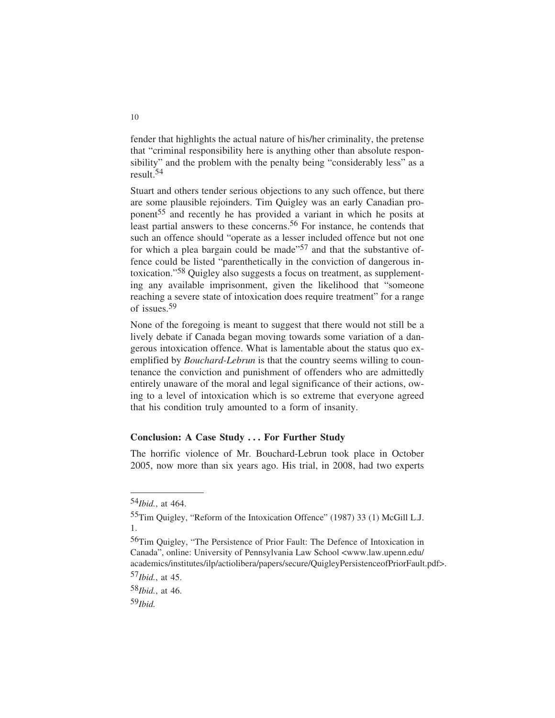fender that highlights the actual nature of his/her criminality, the pretense that "criminal responsibility here is anything other than absolute responsibility" and the problem with the penalty being "considerably less" as a result.54

Stuart and others tender serious objections to any such offence, but there are some plausible rejoinders. Tim Quigley was an early Canadian proponent<sup>55</sup> and recently he has provided a variant in which he posits at least partial answers to these concerns.<sup>56</sup> For instance, he contends that such an offence should "operate as a lesser included offence but not one for which a plea bargain could be made<sup> $57$ </sup> and that the substantive offence could be listed "parenthetically in the conviction of dangerous intoxication."58 Quigley also suggests a focus on treatment, as supplementing any available imprisonment, given the likelihood that "someone reaching a severe state of intoxication does require treatment" for a range of issues.59

None of the foregoing is meant to suggest that there would not still be a lively debate if Canada began moving towards some variation of a dangerous intoxication offence. What is lamentable about the status quo exemplified by *Bouchard-Lebrun* is that the country seems willing to countenance the conviction and punishment of offenders who are admittedly entirely unaware of the moral and legal significance of their actions, owing to a level of intoxication which is so extreme that everyone agreed that his condition truly amounted to a form of insanity.

### **Conclusion: A Case Study . . . For Further Study**

The horrific violence of Mr. Bouchard-Lebrun took place in October 2005, now more than six years ago. His trial, in 2008, had two experts

<sup>54</sup>*Ibid.*, at 464.

<sup>55</sup>Tim Quigley, "Reform of the Intoxication Offence" (1987) 33 (1) McGill L.J. 1.

<sup>56</sup>Tim Quigley, "The Persistence of Prior Fault: The Defence of Intoxication in Canada", online: University of Pennsylvania Law School <www.law.upenn.edu/ academics/institutes/ilp/actiolibera/papers/secure/QuigleyPersistenceofPriorFault.pdf>.

<sup>57</sup>*Ibid.*, at 45.

<sup>58</sup>*Ibid.*, at 46.

<sup>59</sup>*Ibid.*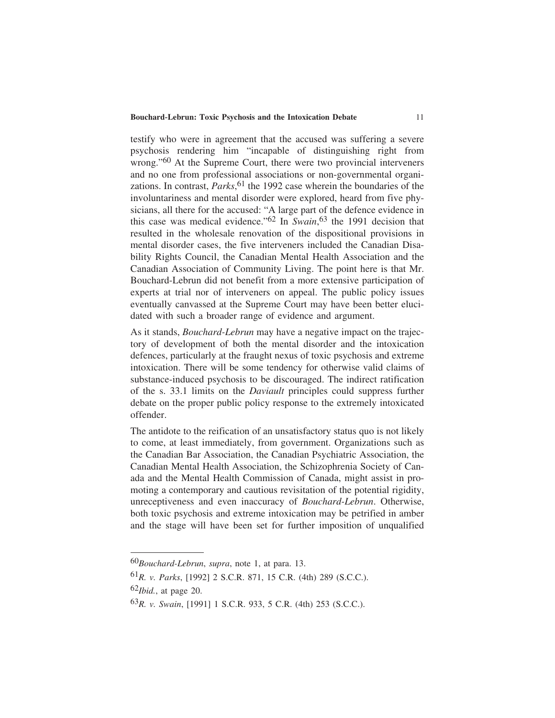#### **Bouchard-Lebrun: Toxic Psychosis and the Intoxication Debate** 11

testify who were in agreement that the accused was suffering a severe psychosis rendering him "incapable of distinguishing right from wrong."<sup>60</sup> At the Supreme Court, there were two provincial interveners and no one from professional associations or non-governmental organizations. In contrast, *Parks*, 61 the 1992 case wherein the boundaries of the involuntariness and mental disorder were explored, heard from five physicians, all there for the accused: "A large part of the defence evidence in this case was medical evidence."62 In *Swain*, 63 the 1991 decision that resulted in the wholesale renovation of the dispositional provisions in mental disorder cases, the five interveners included the Canadian Disability Rights Council, the Canadian Mental Health Association and the Canadian Association of Community Living. The point here is that Mr. Bouchard-Lebrun did not benefit from a more extensive participation of experts at trial nor of interveners on appeal. The public policy issues eventually canvassed at the Supreme Court may have been better elucidated with such a broader range of evidence and argument.

As it stands, *Bouchard-Lebrun* may have a negative impact on the trajectory of development of both the mental disorder and the intoxication defences, particularly at the fraught nexus of toxic psychosis and extreme intoxication. There will be some tendency for otherwise valid claims of substance-induced psychosis to be discouraged. The indirect ratification of the s. 33.1 limits on the *Daviault* principles could suppress further debate on the proper public policy response to the extremely intoxicated offender.

The antidote to the reification of an unsatisfactory status quo is not likely to come, at least immediately, from government. Organizations such as the Canadian Bar Association, the Canadian Psychiatric Association, the Canadian Mental Health Association, the Schizophrenia Society of Canada and the Mental Health Commission of Canada, might assist in promoting a contemporary and cautious revisitation of the potential rigidity, unreceptiveness and even inaccuracy of *Bouchard-Lebrun*. Otherwise, both toxic psychosis and extreme intoxication may be petrified in amber and the stage will have been set for further imposition of unqualified

<sup>60</sup>*Bouchard-Lebrun*, *supra*, note 1, at para. 13.

<sup>61</sup>*R. v. Parks*, [1992] 2 S.C.R. 871, 15 C.R. (4th) 289 (S.C.C.).

<sup>62</sup>*Ibid.*, at page 20.

<sup>63</sup>*R. v. Swain*, [1991] 1 S.C.R. 933, 5 C.R. (4th) 253 (S.C.C.).